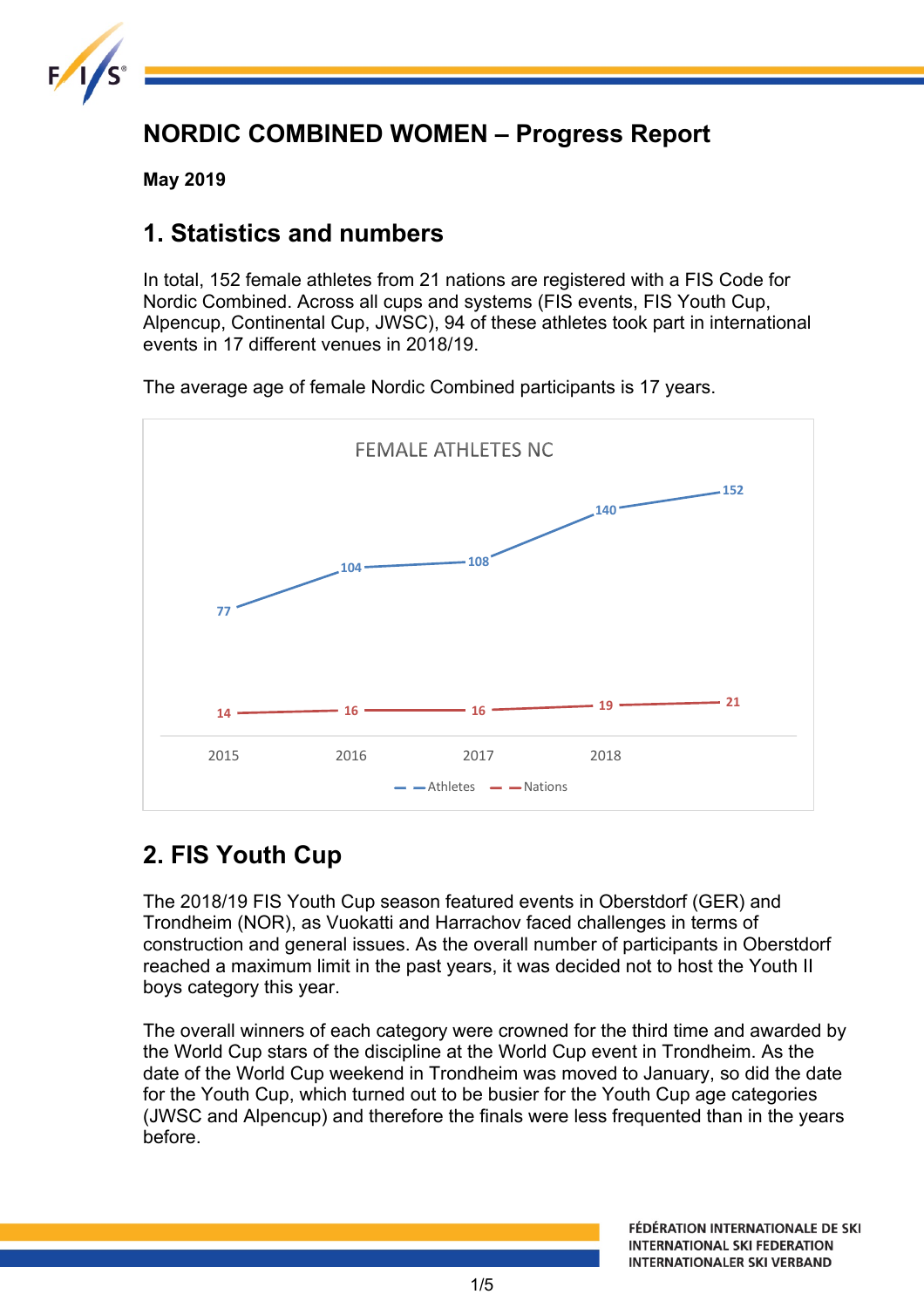

# **NORDIC COMBINED WOMEN – Progress Report**

**May 2019**

## **1. Statistics and numbers**

In total, 152 female athletes from 21 nations are registered with a FIS Code for Nordic Combined. Across all cups and systems (FIS events, FIS Youth Cup, Alpencup, Continental Cup, JWSC), 94 of these athletes took part in international events in 17 different venues in 2018/19.

The average age of female Nordic Combined participants is 17 years.



# **2. FIS Youth Cup**

The 2018/19 FIS Youth Cup season featured events in Oberstdorf (GER) and Trondheim (NOR), as Vuokatti and Harrachov faced challenges in terms of construction and general issues. As the overall number of participants in Oberstdorf reached a maximum limit in the past years, it was decided not to host the Youth II boys category this year.

The overall winners of each category were crowned for the third time and awarded by the World Cup stars of the discipline at the World Cup event in Trondheim. As the date of the World Cup weekend in Trondheim was moved to January, so did the date for the Youth Cup, which turned out to be busier for the Youth Cup age categories (JWSC and Alpencup) and therefore the finals were less frequented than in the years before.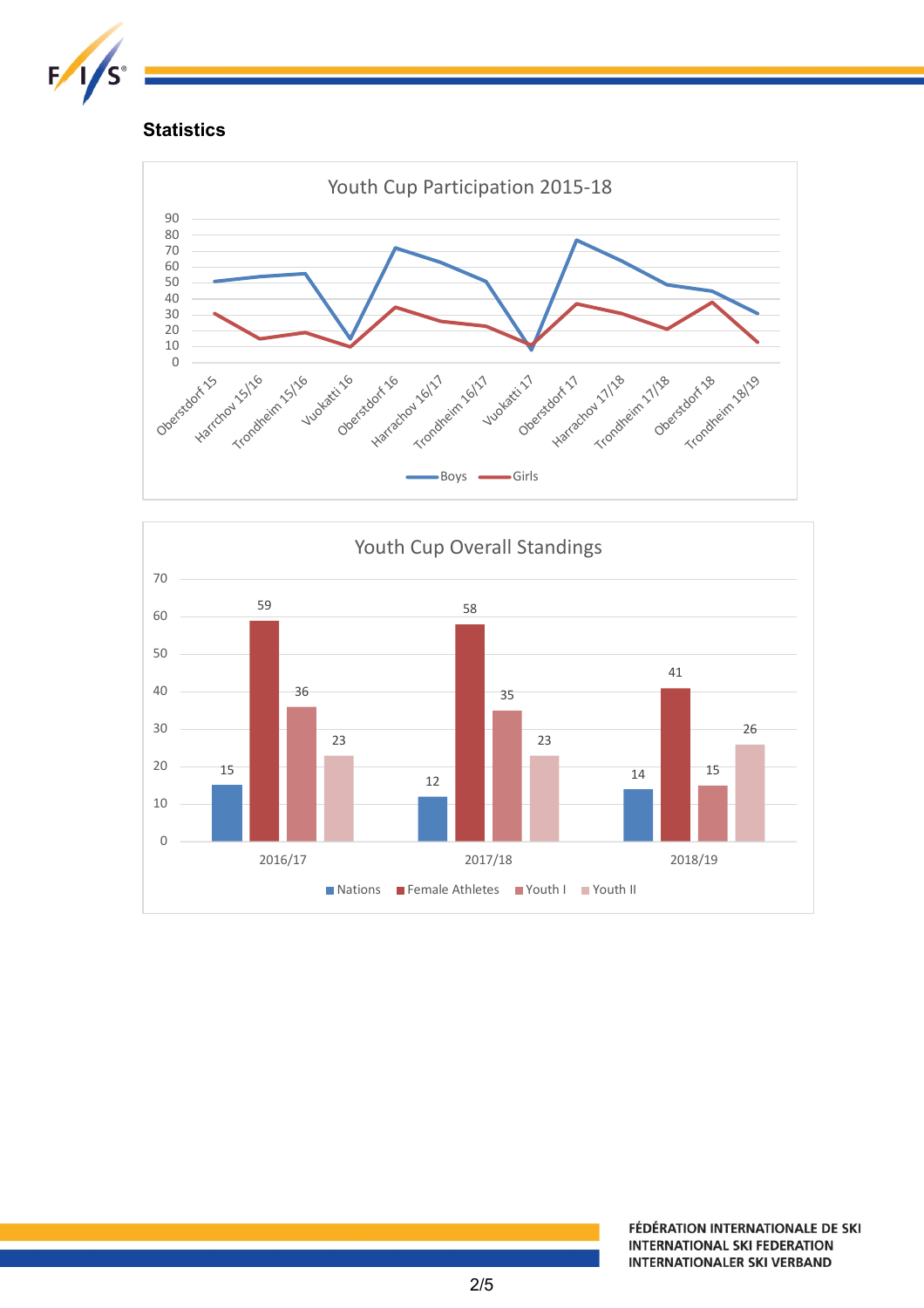

### **Statistics**



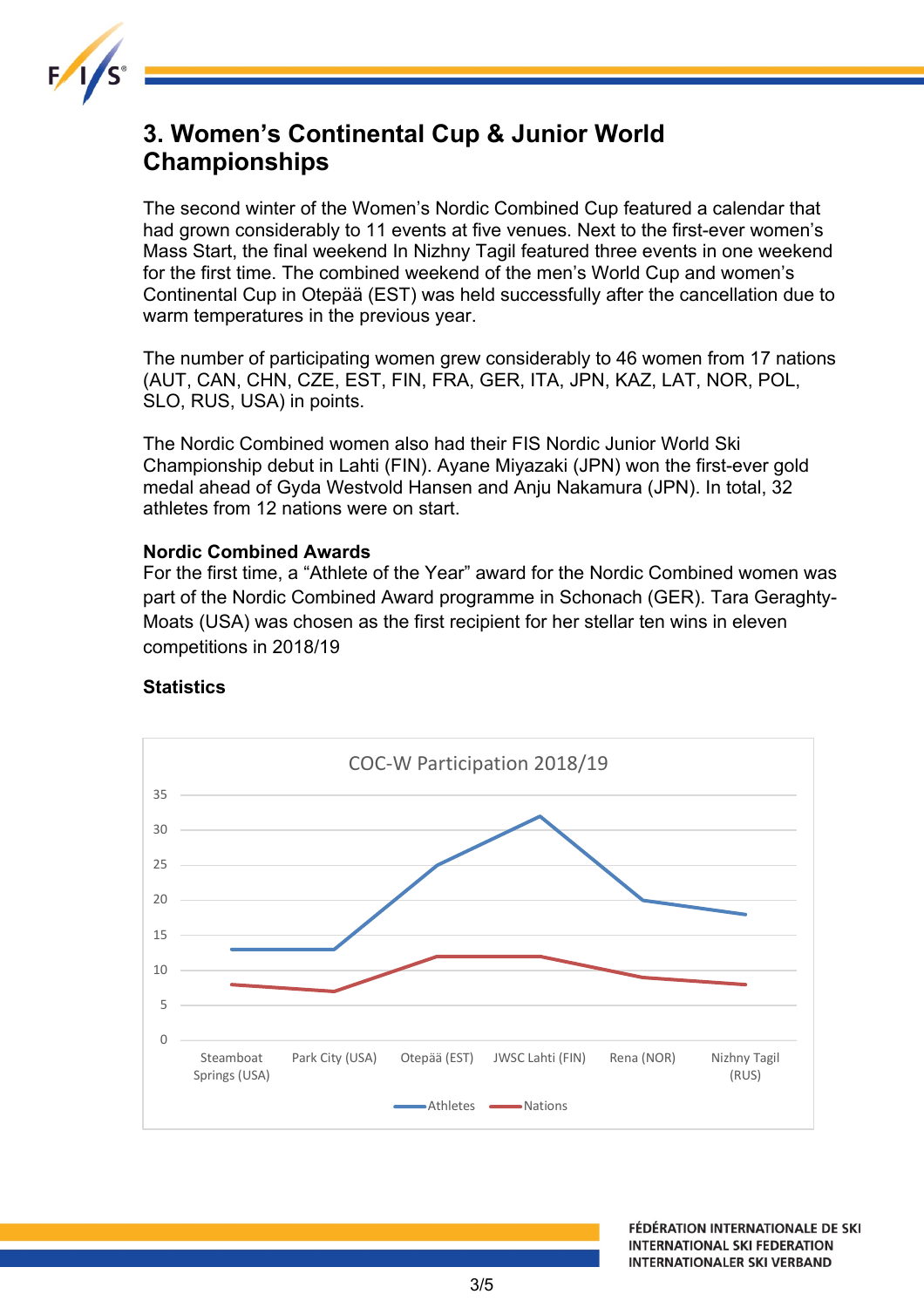

## **3. Women's Continental Cup & Junior World Championships**

The second winter of the Women's Nordic Combined Cup featured a calendar that had grown considerably to 11 events at five venues. Next to the first-ever women's Mass Start, the final weekend In Nizhny Tagil featured three events in one weekend for the first time. The combined weekend of the men's World Cup and women's Continental Cup in Otepää (EST) was held successfully after the cancellation due to warm temperatures in the previous year.

The number of participating women grew considerably to 46 women from 17 nations (AUT, CAN, CHN, CZE, EST, FIN, FRA, GER, ITA, JPN, KAZ, LAT, NOR, POL, SLO, RUS, USA) in points.

The Nordic Combined women also had their FIS Nordic Junior World Ski Championship debut in Lahti (FIN). Ayane Miyazaki (JPN) won the first-ever gold medal ahead of Gyda Westvold Hansen and Anju Nakamura (JPN). In total, 32 athletes from 12 nations were on start.

#### **Nordic Combined Awards**

For the first time, a "Athlete of the Year" award for the Nordic Combined women was part of the Nordic Combined Award programme in Schonach (GER). Tara Geraghty-Moats (USA) was chosen as the first recipient for her stellar ten wins in eleven competitions in 2018/19



#### **Statistics**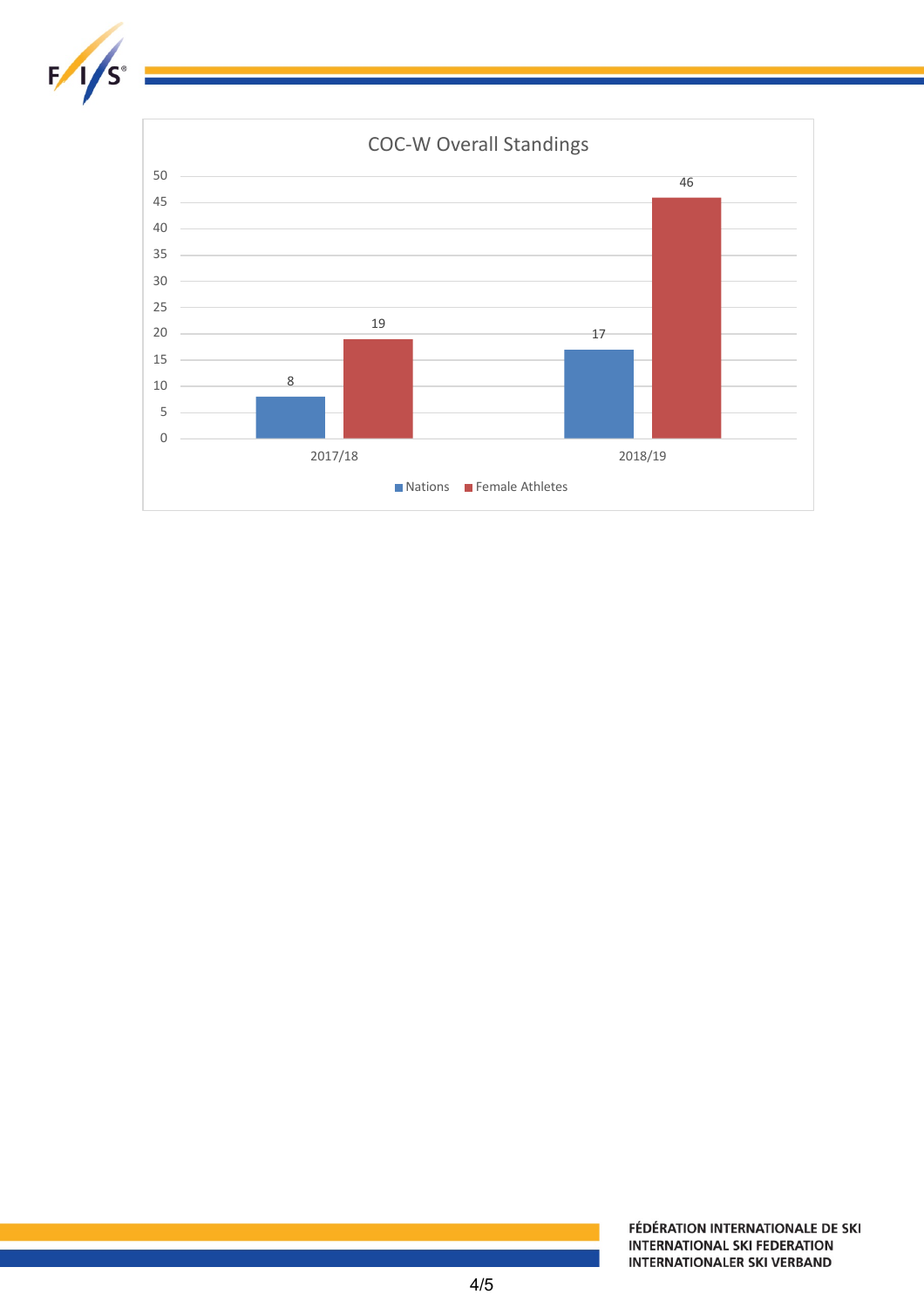